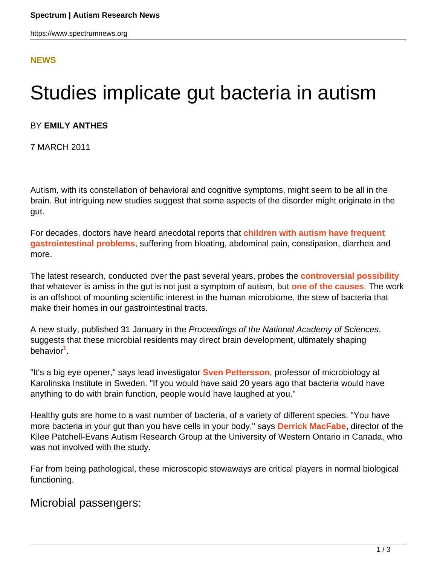## **[NEWS](HTTPS://WWW.SPECTRUMNEWS.ORG/NEWS/)**

## Studies implicate gut bacteria in autism

## BY **EMILY ANTHES**

7 MARCH 2011

Autism, with its constellation of behavioral and cognitive symptoms, might seem to be all in the brain. But intriguing new studies suggest that some aspects of the disorder might originate in the gut.

For decades, doctors have heard anecdotal reports that **[children with autism have frequent](https://www.spectrumnews.org/news/2008/autism-some-say-is-all-in-the-gut) [gastrointestinal problems](https://www.spectrumnews.org/news/2008/autism-some-say-is-all-in-the-gut)**, suffering from bloating, abdominal pain, constipation, diarrhea and more.

The latest research, conducted over the past several years, probes the **[controversial possibility](https://www.spectrumnews.org/news/2009/study-raises-questions-about-autism-gut-connection)** that whatever is amiss in the gut is not just a symptom of autism, but **[one of the causes](https://www.spectrumnews.org/news/2009/autism-gene-linked-to-gut-woes)**. The work is an offshoot of mounting scientific interest in the human microbiome, the stew of bacteria that make their homes in our gastrointestinal tracts.

A new study, published 31 January in the Proceedings of the National Academy of Sciences, suggests that these microbial residents may direct brain development, ultimately shaping behavior**<sup>1</sup>** .

"It's a big eye opener," says lead investigator **[Sven Pettersson](http://ki.se/ki/jsp/polopoly.jsp?d=2693&l=en)**, professor of microbiology at Karolinska Institute in Sweden. "If you would have said 20 years ago that bacteria would have anything to do with brain function, people would have laughed at you."

Healthy guts are home to a vast number of bacteria, of a variety of different species. "You have more bacteria in your gut than you have cells in your body," says **[Derrick MacFabe](http://www.psychology.uwo.ca/autism/index.htm)**, director of the Kilee Patchell-Evans Autism Research Group at the University of Western Ontario in Canada, who was not involved with the study.

Far from being pathological, these microscopic stowaways are critical players in normal biological functioning.

Microbial passengers: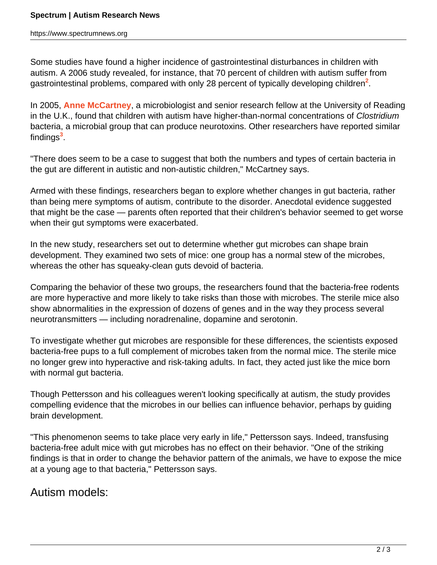https://www.spectrumnews.org

Some studies have found a higher incidence of gastrointestinal disturbances in children with autism. A 2006 study revealed, for instance, that 70 percent of children with autism suffer from gastrointestinal problems, compared with only 28 percent of typically developing children<sup>2</sup>.

In 2005, **[Anne McCartney](http://www.reading.ac.uk/food/about/staff/a-l-mccartney.aspx)**, a microbiologist and senior research fellow at the University of Reading in the U.K., found that children with autism have higher-than-normal concentrations of Clostridium bacteria, a microbial group that can produce neurotoxins. Other researchers have reported similar findings**<sup>3</sup>** .

"There does seem to be a case to suggest that both the numbers and types of certain bacteria in the gut are different in autistic and non-autistic children," McCartney says.

Armed with these findings, researchers began to explore whether changes in gut bacteria, rather than being mere symptoms of autism, contribute to the disorder. Anecdotal evidence suggested that might be the case — parents often reported that their children's behavior seemed to get worse when their gut symptoms were exacerbated.

In the new study, researchers set out to determine whether gut microbes can shape brain development. They examined two sets of mice: one group has a normal stew of the microbes, whereas the other has squeaky-clean guts devoid of bacteria.

Comparing the behavior of these two groups, the researchers found that the bacteria-free rodents are more hyperactive and more likely to take risks than those with microbes. The sterile mice also show abnormalities in the expression of dozens of genes and in the way they process several neurotransmitters — including noradrenaline, dopamine and serotonin.

To investigate whether gut microbes are responsible for these differences, the scientists exposed bacteria-free pups to a full complement of microbes taken from the normal mice. The sterile mice no longer grew into hyperactive and risk-taking adults. In fact, they acted just like the mice born with normal gut bacteria.

Though Pettersson and his colleagues weren't looking specifically at autism, the study provides compelling evidence that the microbes in our bellies can influence behavior, perhaps by guiding brain development.

"This phenomenon seems to take place very early in life," Pettersson says. Indeed, transfusing bacteria-free adult mice with gut microbes has no effect on their behavior. "One of the striking findings is that in order to change the behavior pattern of the animals, we have to expose the mice at a young age to that bacteria," Pettersson says.

Autism models: